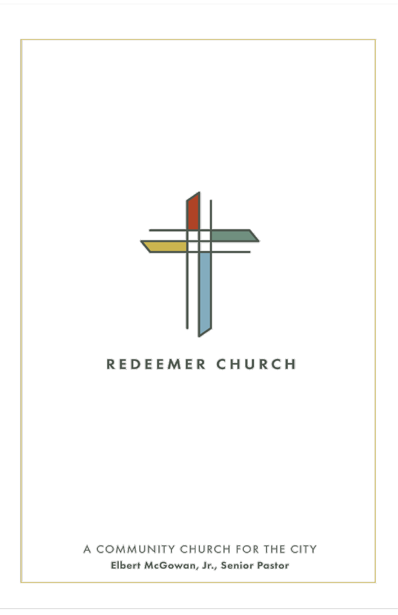

# REDEEMER CHURCH

A COMMUNITY CHURCH FOR THE CITY Elbert McGowan, Jr., Senior Pastor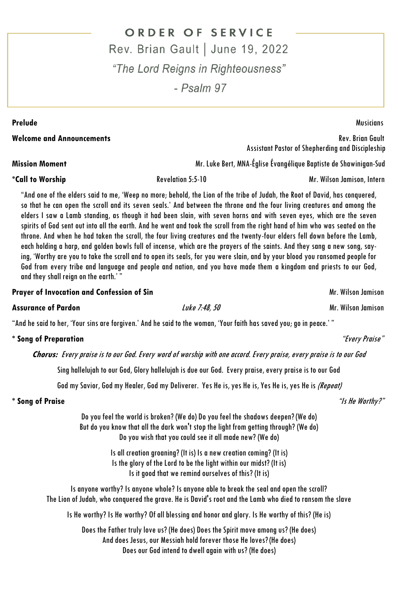# ORDER OF SERVICE

Rev. Brian Gault | June 19, 2022

"The Lord Reigns in Righteousness"

 $-$  Psalm 97

#### **Welcome and Announcements** Rev. Brian Gault

"And one of the elders said to me, 'Weep no more; behold, the Lion of the tribe of Judah, the Root of David, has conquered, so that he can open the scroll and its seven seals.' And between the throne and the four living creatures and among the elders I saw a Lamb standing, as though it had been slain, with seven horns and with seven eyes, which are the seven spirits of God sent out into all the earth. And he went and took the scroll from the right hand of him who was seated on the throne. And when he had taken the scroll, the four living creatures and the twenty-four elders fell down before the Lamb, each holding a harp, and golden bowls full of incense, which are the prayers of the saints. And they sang a new song, saying, 'Worthy are you to take the scroll and to open its seals, for you were slain, and by your blood you ransomed people for God from every tribe and language and people and nation, and you have made them a kingdom and priests to our God, and they shall reign on the earth.'

**Prayer of Invocation and Confession of Sin** *Mr. Wilson Jamison* **Mr. Wilson Jamison** 

"And he said to her, 'Your sins are forgiven.' And he said to the woman, 'Your faith has saved you; go in peace.' "

#### **\* Song of Preparation** "Every Praise"

**Chorus:** Every praise is to our God. Every word of worship with one accord. Every praise, every praise is to our God

Sing hallelujah to our God, Glory hallelujah is due our God. Every praise, every praise is to our God

God my Savior, God my Healer, God my Deliverer. Yes He is, yes He is, Yes He is, yes He is (Repeat)

#### **\* Song of Praise** "Is He Worthy?"

Assistant Pastor of Shepherding and Discipleship

**Mission Moment** Mr. Luke Bert, MNA-Église Évangélique Baptiste de Shawinigan-Sud

**\*Call to Worship** Revelation 5:5-10 Mr. Wilson Jamison, Intern

**Assurance of Pardon** Luke 7:48, 50 Mr. Wilson Jamison

Do you feel the world is broken? (We do) Do you feel the shadows deepen?(We do) But do you know that all the dark won't stop the light from getting through? (We do) Do you wish that you could see it all made new? (We do)

> Is all creation groaning? (It is) Is a new creation coming? (It is) Is the glory of the Lord to be the light within our midst? (It is) Is it good that we remind ourselves of this? (It is)

Is anyone worthy? Is anyone whole? Is anyone able to break the seal and open the scroll? The Lion of Judah, who conquered the grave. He is David's root and the Lamb who died to ransom the slave

Is He worthy? Is He worthy? Of all blessing and honor and glory. Is He worthy of this? (He is)

Does the Father truly love us? (He does) Does the Spirit move among us? (He does) And does Jesus, our Messiah hold forever those He loves?(He does) Does our God intend to dwell again with us? (He does)

**Prelude** Musicians **Musicians Musicians Musicians**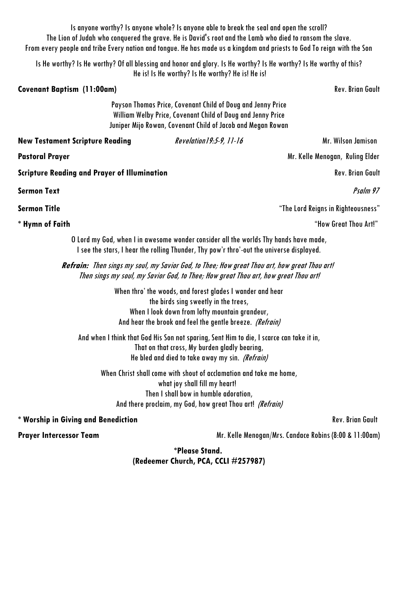| The Lion of Judah who conquered the grave. He is David's root and the Lamb who died to ransom the slave.<br>From every people and tribe Every nation and tongue. He has made us a kingdom and priests to God To reign with the Son | Is anyone worthy? Is anyone whole? Is anyone able to break the seal and open the scroll?                                                                                                                        |                                                        |
|------------------------------------------------------------------------------------------------------------------------------------------------------------------------------------------------------------------------------------|-----------------------------------------------------------------------------------------------------------------------------------------------------------------------------------------------------------------|--------------------------------------------------------|
| Is He worthy? Is He worthy? Of all blessing and honor and glory. Is He worthy? Is He worthy? Is He worthy of this?                                                                                                                 | He is! Is He worthy? Is He worthy? He is! He is!                                                                                                                                                                |                                                        |
| <b>Covenant Baptism (11:00am)</b>                                                                                                                                                                                                  |                                                                                                                                                                                                                 | <b>Rev. Brian Gault</b>                                |
|                                                                                                                                                                                                                                    | Payson Thomas Price, Covenant Child of Doug and Jenny Price<br>William Welby Price, Covenant Child of Doug and Jenny Price<br>Juniper Mijo Rowan, Covenant Child of Jacob and Megan Rowan                       |                                                        |
| <b>New Testament Scripture Reading</b>                                                                                                                                                                                             | Revelation 19:5-9, 11-16                                                                                                                                                                                        | Mr. Wilson Jamison                                     |
| <b>Pastoral Prayer</b>                                                                                                                                                                                                             |                                                                                                                                                                                                                 | Mr. Kelle Menogan, Ruling Elder                        |
| <b>Scripture Reading and Prayer of Illumination</b>                                                                                                                                                                                |                                                                                                                                                                                                                 | <b>Rev. Brian Gault</b>                                |
| <b>Sermon Text</b>                                                                                                                                                                                                                 |                                                                                                                                                                                                                 | Psalm 97                                               |
| Sermon Title                                                                                                                                                                                                                       |                                                                                                                                                                                                                 | "The Lord Reigns in Righteousness"                     |
| * Hymn of Faith                                                                                                                                                                                                                    |                                                                                                                                                                                                                 | "How Great Thou Art!"                                  |
|                                                                                                                                                                                                                                    | O Lord my God, when I in awesome wonder consider all the worlds Thy hands have made,<br>I see the stars, I hear the rolling Thunder, Thy pow'r thro'-out the universe displayed.                                |                                                        |
|                                                                                                                                                                                                                                    | Refrain: Then sings my soul, my Savior God, to Thee; How great Thou art, how great Thou art!<br>Then sings my soul, my Savior God, to Thee; How great Thou art, how great Thou art!                             |                                                        |
|                                                                                                                                                                                                                                    | When thro' the woods, and forest glades I wander and hear<br>the birds sing sweetly in the trees,<br>When I look down from lofty mountain grandeur,<br>And hear the brook and feel the gentle breeze. (Refrain) |                                                        |
|                                                                                                                                                                                                                                    | And when I think that God His Son not sparing, Sent Him to die, I scarce can take it in,<br>That on that cross, My burden gladly bearing,<br>He bled and died to take away my sin. (Refrain)                    |                                                        |
|                                                                                                                                                                                                                                    | When Christ shall come with shout of acclamation and take me home,<br>what joy shall fill my heart!<br>Then I shall bow in humble adoration,<br>And there proclaim, my God, how great Thou art! (Refrain)       |                                                        |
| * Worship in Giving and Benediction                                                                                                                                                                                                |                                                                                                                                                                                                                 | <b>Rev. Brian Gault</b>                                |
| Prayer Intercessor Team                                                                                                                                                                                                            |                                                                                                                                                                                                                 | Mr. Kelle Menogan/Mrs. Candace Robins (8:00 & 11:00am) |
| *Please Stand.<br>(Redeemer Church, PCA, CCLI #257987)                                                                                                                                                                             |                                                                                                                                                                                                                 |                                                        |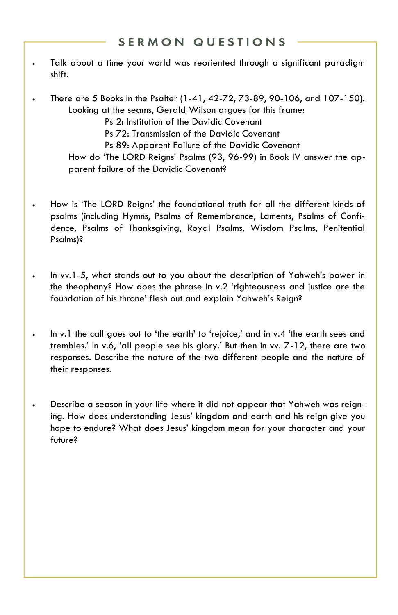- Talk about a time your world was reoriented through a significant paradigm shift.
- There are 5 Books in the Psalter (1-41, 42-72, 73-89, 90-106, and 107-150). Looking at the seams, Gerald Wilson argues for this frame:

Ps 2: Institution of the Davidic Covenant

Ps 72: Transmission of the Davidic Covenant

Ps 89: Apparent Failure of the Davidic Covenant

How do 'The LORD Reigns' Psalms (93, 96-99) in Book IV answer the apparent failure of the Davidic Covenant?

- How is 'The LORD Reigns' the foundational truth for all the different kinds of psalms (including Hymns, Psalms of Remembrance, Laments, Psalms of Confidence, Psalms of Thanksgiving, Royal Psalms, Wisdom Psalms, Penitential Psalms)?
- In vv.1-5, what stands out to you about the description of Yahweh's power in the theophany? How does the phrase in v.2 'righteousness and justice are the foundation of his throne' flesh out and explain Yahweh's Reign?
- In v.1 the call goes out to 'the earth' to 'rejoice,' and in v.4 'the earth sees and trembles.' In v.6, 'all people see his glory.' But then in vv. 7-12, there are two responses. Describe the nature of the two different people and the nature of their responses.
- Describe a season in your life where it did not appear that Yahweh was reigning. How does understanding Jesus' kingdom and earth and his reign give you hope to endure? What does Jesus' kingdom mean for your character and your future?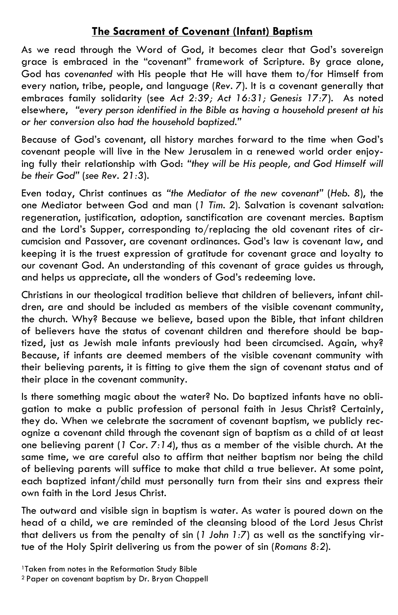# **The Sacrament of Covenant (Infant) Baptism**

As we read through the Word of God, it becomes clear that God's sovereign grace is embraced in the "covenant" framework of Scripture. By grace alone, God has *covenanted* with His people that He will have them to/for Himself from every nation, tribe, people, and language (*Rev. 7*). It is a covenant generally that embraces family solidarity (see *Act 2:39; Act 16:31; Genesis 17:7*). As noted elsewhere, *"every person identified in the Bible as having a household present at his or her conversion also had the household baptized."*

Because of God's covenant, all history marches forward to the time when God's covenant people will live in the New Jerusalem in a renewed world order enjoying fully their relationship with God: *"they will be His people, and God Himself will be their God"* (*see Rev. 21:3*).

Even today, Christ continues as *"the Mediator of the new covenant"* (*Heb. 8*), the one Mediator between God and man (*1 Tim. 2*). Salvation is covenant salvation: regeneration, justification, adoption, sanctification are covenant mercies. Baptism and the Lord's Supper, corresponding to/replacing the old covenant rites of circumcision and Passover, are covenant ordinances. God's law is covenant law, and keeping it is the truest expression of gratitude for covenant grace and loyalty to our covenant God. An understanding of this covenant of grace guides us through, and helps us appreciate, all the wonders of God's redeeming love.

Christians in our theological tradition believe that children of believers, infant chilelegion in admentionere mail amarem et a<br>Id he included as members of the visible a Lily Henry the church. Why? Because we believe, based upon the Bible, that infant children of believers have the status of covenant children and therefore should be baptized, just as Jewish male infants previously had been circumcised. Again, why? Because, if infants are deemed members of the visible covenant community with dren, are and should be included as members of the visible covenant community, their believing parents, it is fitting to give them the sign of covenant status and of their place in the covenant community.

Is there something magic about the water? No. Do baptized infants have no obligation to make a public profession of personal faith in Jesus Christ? Certainly, they do. When we celebrate the sacrament of covenant baptism, we publicly recognize a covenant child through the covenant sign of baptism as a child of at least one believing parent (*1 Cor. 7:14*), thus as a member of the visible church. At the same time, we are careful also to affirm that neither baptism nor being the child of believing parents will suffice to make that child a true believer. At some point, each baptized infant/child must personally turn from their sins and express their own faith in the Lord Jesus Christ.

The outward and visible sign in baptism is water. As water is poured down on the head of a child, we are reminded of the cleansing blood of the Lord Jesus Christ that delivers us from the penalty of sin (*1 John 1:7*) as well as the sanctifying virtue of the Holy Spirit delivering us from the power of sin (*Romans 8:2*).

<sup>1</sup>Taken from notes in the Reformation Study Bible

<sup>2</sup> Paper on covenant baptism by Dr. Bryan Chappell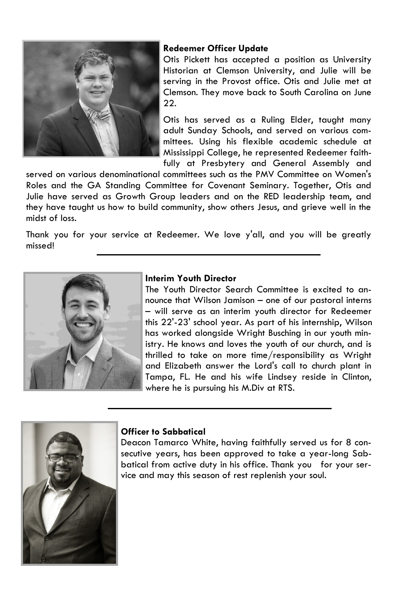

# **Redeemer Officer Update**

Otis Pickett has accepted a position as University Historian at Clemson University, and Julie will be serving in the Provost office. Otis and Julie met at Clemson. They move back to South Carolina on June 22.

Otis has served as a Ruling Elder, taught many adult Sunday Schools, and served on various committees. Using his flexible academic schedule at Mississippi College, he represented Redeemer faithfully at Presbytery and General Assembly and

served on various denominational committees such as the PMV Committee on Women's Roles and the GA Standing Committee for Covenant Seminary. Together, Otis and Julie have served as Growth Group leaders and on the RED leadership team, and they have taught us how to build community, show others Jesus, and grieve well in the midst of loss.

Thank you for your service at Redeemer. We love y'all, and you will be greatly missed!



# **Interim Youth Director**

The Youth Director Search Committee is excited to announce that Wilson Jamison – one of our pastoral interns – will serve as an interim youth director for Redeemer this 22'-23' school year. As part of his internship, Wilson has worked alongside Wright Busching in our youth ministry. He knows and loves the youth of our church, and is thrilled to take on more time/responsibility as Wright and Elizabeth answer the Lord's call to church plant in Tampa, FL. He and his wife Lindsey reside in Clinton, where he is pursuing his M.Div at RTS.



#### **Officer to Sabbatical**

Deacon Tamarco White, having faithfully served us for 8 consecutive years, has been approved to take a year-long Sabbatical from active duty in his office. Thank you for your service and may this season of rest replenish your soul.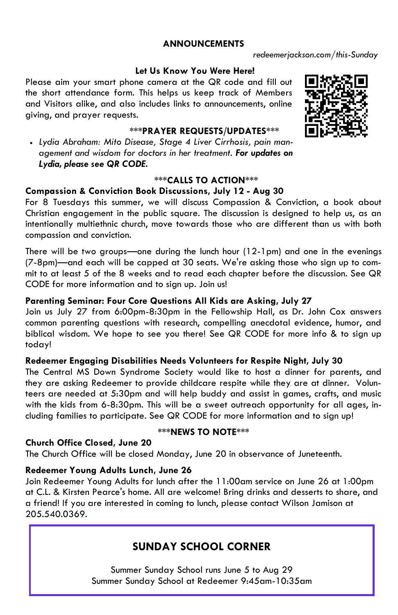# **ANNOUNCEMENTS**

 *redeemerjackson.com/this-Sunday* 

### **Let Us Know You Were Here!**

Please aim your smart phone camera at the QR code and fill out the short attendance form. This helps us keep track of Members and Visitors alike, and also includes links to announcements, online giving, and prayer requests.

# **\*\*\*PRAYER REQUESTS/UPDATES\*\*\***

• *Lydia Abraham: Mito Disease, Stage 4 Liver Cirrhosis, pain management and wisdom for doctors in her treatment. For updates on Lydia, please see QR CODE.*

# **\*\*\*CALLS TO ACTION\*\*\***

# **Compassion & Conviction Book Discussions, July 12 - Aug 30**

For 8 Tuesdays this summer, we will discuss Compassion & Conviction, a book about Christian engagement in the public square. The discussion is designed to help us, as an intentionally multiethnic church, move towards those who are different than us with both compassion and conviction.

There will be two groups—one during the lunch hour (12-1pm) and one in the evenings (7-8pm)—and each will be capped at 30 seats. We're asking those who sign up to commit to at least 5 of the 8 weeks and to read each chapter before the discussion. See QR CODE for more information and to sign up. Join us!

# **Parenting Seminar: Four Core Questions All Kids are Asking, July 27**

Join us July 27 from 6:00pm-8:30pm in the Fellowship Hall, as Dr. John Cox answers common parenting questions with research, compelling anecdotal evidence, humor, and biblical wisdom. We hope to see you there! See QR CODE for more info & to sign up today!

# **Redeemer Engaging Disabilities Needs Volunteers for Respite Night, July 30**

The Central MS Down Syndrome Society would like to host a dinner for parents, and they are asking Redeemer to provide childcare respite while they are at dinner. Volunteers are needed at 5:30pm and will help buddy and assist in games, crafts, and music with the kids from 6-8:30pm. This will be a sweet outreach opportunity for all ages, including families to participate. See QR CODE for more information and to sign up!

# **Church Office Closed, June 20**

# **\*\*\*NEWS TO NOTE\*\*\***

The Church Office will be closed Monday, June 20 in observance of Juneteenth.

# **Redeemer Young Adults Lunch, June 26**

Join Redeemer Young Adults for lunch after the 11:00am service on June 26 at 1:00pm at C.L. & Kirsten Pearce's home. All are welcome! Bring drinks and desserts to share, and a friend! If you are interested in coming to lunch, please contact Wilson Jamison at 205.540.0369.

# **SUNDAY SCHOOL CORNER**

Summer Sunday School runs June 5 to Aug 29 Summer Sunday School at Redeemer 9:45am-10:35am